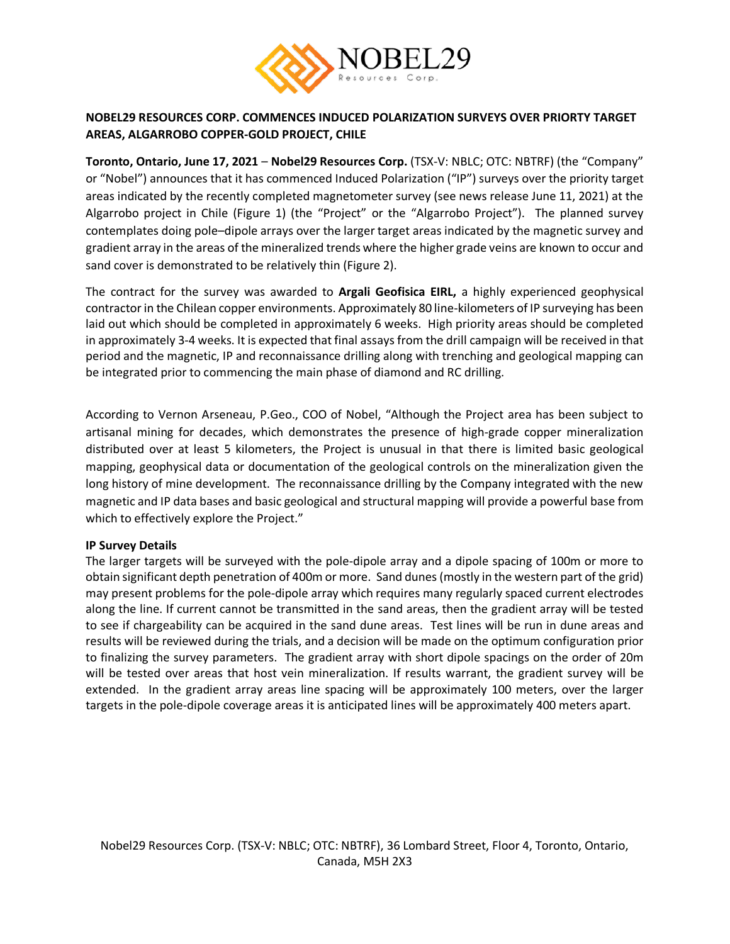

# **NOBEL29 RESOURCES CORP. COMMENCES INDUCED POLARIZATION SURVEYS OVER PRIORTY TARGET AREAS, ALGARROBO COPPER-GOLD PROJECT, CHILE**

**Toronto, Ontario, June 17, 2021** – **Nobel29 Resources Corp.** (TSX-V: NBLC; OTC: NBTRF) (the "Company" or "Nobel") announces that it has commenced Induced Polarization ("IP") surveys over the priority target areas indicated by the recently completed magnetometer survey (see news release June 11, 2021) at the Algarrobo project in Chile (Figure 1) (the "Project" or the "Algarrobo Project"). The planned survey contemplates doing pole–dipole arrays over the larger target areas indicated by the magnetic survey and gradient array in the areas of the mineralized trends where the higher grade veins are known to occur and sand cover is demonstrated to be relatively thin (Figure 2).

The contract for the survey was awarded to **Argali Geofisica EIRL,** a highly experienced geophysical contractor in the Chilean copper environments. Approximately 80 line-kilometers of IP surveying has been laid out which should be completed in approximately 6 weeks. High priority areas should be completed in approximately 3-4 weeks. It is expected that final assays from the drill campaign will be received in that period and the magnetic, IP and reconnaissance drilling along with trenching and geological mapping can be integrated prior to commencing the main phase of diamond and RC drilling.

According to Vernon Arseneau, P.Geo., COO of Nobel, "Although the Project area has been subject to artisanal mining for decades, which demonstrates the presence of high-grade copper mineralization distributed over at least 5 kilometers, the Project is unusual in that there is limited basic geological mapping, geophysical data or documentation of the geological controls on the mineralization given the long history of mine development. The reconnaissance drilling by the Company integrated with the new magnetic and IP data bases and basic geological and structural mapping will provide a powerful base from which to effectively explore the Project."

## **IP Survey Details**

The larger targets will be surveyed with the pole-dipole array and a dipole spacing of 100m or more to obtain significant depth penetration of 400m or more. Sand dunes (mostly in the western part of the grid) may present problems for the pole-dipole array which requires many regularly spaced current electrodes along the line. If current cannot be transmitted in the sand areas, then the gradient array will be tested to see if chargeability can be acquired in the sand dune areas. Test lines will be run in dune areas and results will be reviewed during the trials, and a decision will be made on the optimum configuration prior to finalizing the survey parameters. The gradient array with short dipole spacings on the order of 20m will be tested over areas that host vein mineralization. If results warrant, the gradient survey will be extended. In the gradient array areas line spacing will be approximately 100 meters, over the larger targets in the pole-dipole coverage areas it is anticipated lines will be approximately 400 meters apart.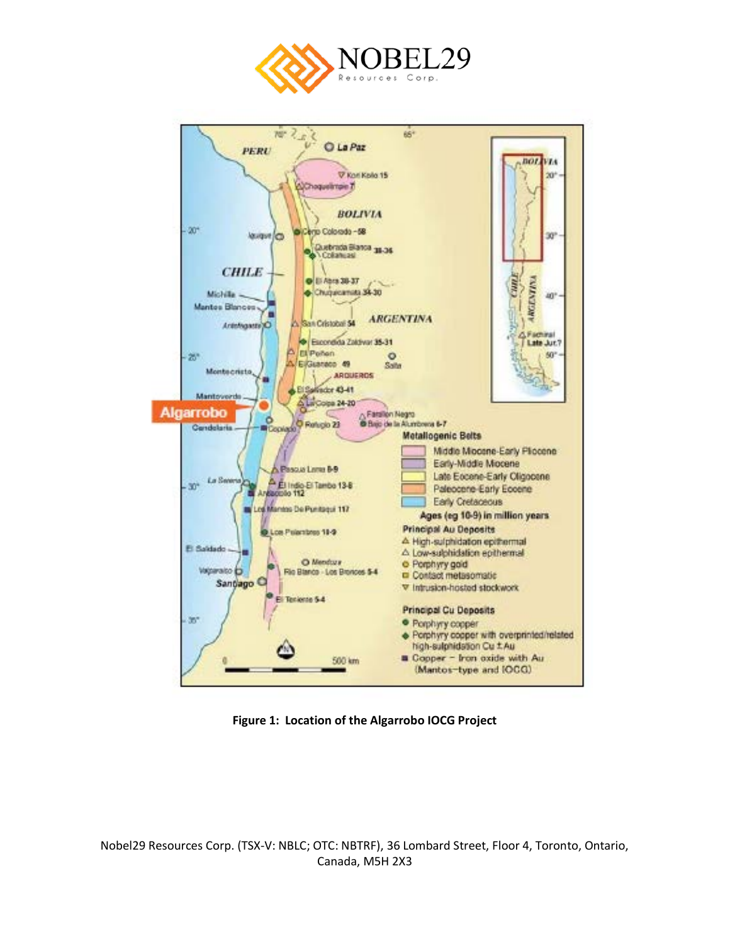



**Figure 1: Location of the Algarrobo IOCG Project**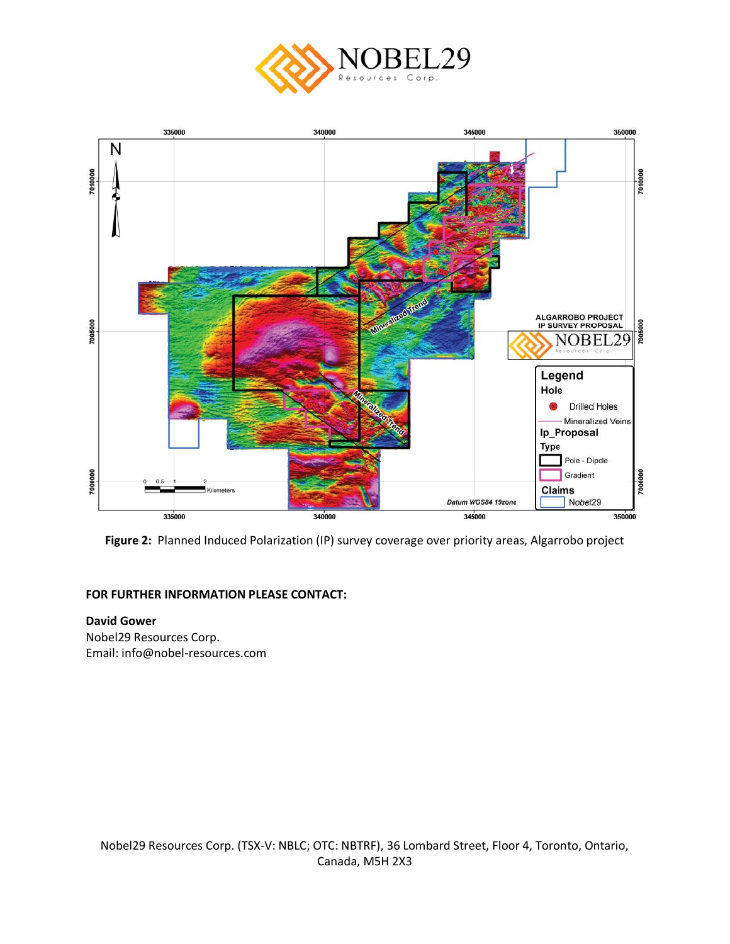



**Figure 2:** Planned Induced Polarization (IP) survey coverage over priority areas, Algarrobo project

## **FOR FURTHER INFORMATION PLEASE CONTACT:**

## **David Gower** Nobel29 Resources Corp. Email: info@nobel-resources.com